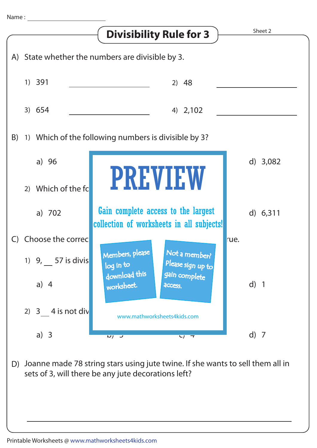